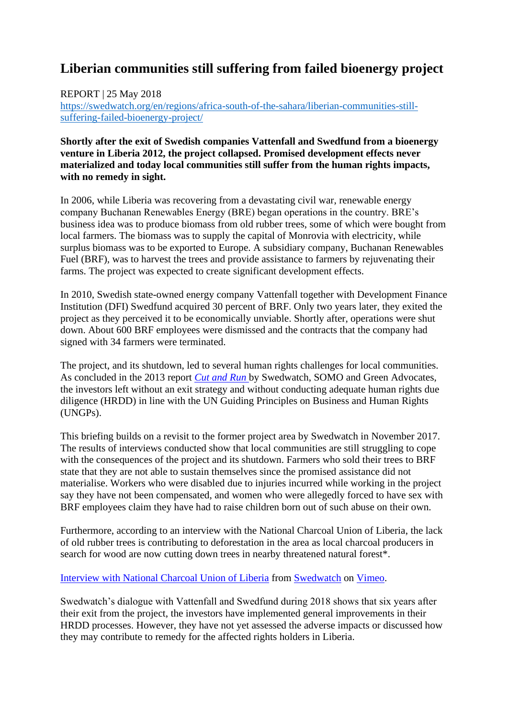## **Liberian communities still suffering from failed bioenergy project**

REPORT | 25 May 2018

[https://swedwatch.org/en/regions/africa-south-of-the-sahara/liberian-communities-still](https://swedwatch.org/en/regions/africa-south-of-the-sahara/liberian-communities-still-suffering-failed-bioenergy-project/)[suffering-failed-bioenergy-project/](https://swedwatch.org/en/regions/africa-south-of-the-sahara/liberian-communities-still-suffering-failed-bioenergy-project/)

## **Shortly after the exit of Swedish companies Vattenfall and Swedfund from a bioenergy venture in Liberia 2012, the project collapsed. Promised development effects never materialized and today local communities still suffer from the human rights impacts, with no remedy in sight.**

In 2006, while Liberia was recovering from a devastating civil war, renewable energy company Buchanan Renewables Energy (BRE) began operations in the country. BRE's business idea was to produce biomass from old rubber trees, some of which were bought from local farmers. The biomass was to supply the capital of Monrovia with electricity, while surplus biomass was to be exported to Europe. A subsidiary company, Buchanan Renewables Fuel (BRF), was to harvest the trees and provide assistance to farmers by rejuvenating their farms. The project was expected to create significant development effects.

In 2010, Swedish state-owned energy company Vattenfall together with Development Finance Institution (DFI) Swedfund acquired 30 percent of BRF. Only two years later, they exited the project as they perceived it to be economically unviable. Shortly after, operations were shut down. About 600 BRF employees were dismissed and the contracts that the company had signed with 34 farmers were terminated.

The project, and its shutdown, led to several human rights challenges for local communities. As concluded in the 2013 report *[Cut and Run](https://www.swedwatch.org/wp-content/uploads/2016/12/swedwatch_somo_-_cut_and_run.pdf)* by Swedwatch, SOMO and Green Advocates, the investors left without an exit strategy and without conducting adequate human rights due diligence (HRDD) in line with the UN Guiding Principles on Business and Human Rights (UNGPs).

This briefing builds on a revisit to the former project area by Swedwatch in November 2017. The results of interviews conducted show that local communities are still struggling to cope with the consequences of the project and its shutdown. Farmers who sold their trees to BRF state that they are not able to sustain themselves since the promised assistance did not materialise. Workers who were disabled due to injuries incurred while working in the project say they have not been compensated, and women who were allegedly forced to have sex with BRF employees claim they have had to raise children born out of such abuse on their own.

Furthermore, according to an interview with the National Charcoal Union of Liberia, the lack of old rubber trees is contributing to deforestation in the area as local charcoal producers in search for wood are now cutting down trees in nearby threatened natural forest\*.

## [Interview with National Charcoal Union of Liberia](https://vimeo.com/271813170) from [Swedwatch](https://vimeo.com/user10850667) on [Vimeo.](https://vimeo.com/)

Swedwatch's dialogue with Vattenfall and Swedfund during 2018 shows that six years after their exit from the project, the investors have implemented general improvements in their HRDD processes. However, they have not yet assessed the adverse impacts or discussed how they may contribute to remedy for the affected rights holders in Liberia.